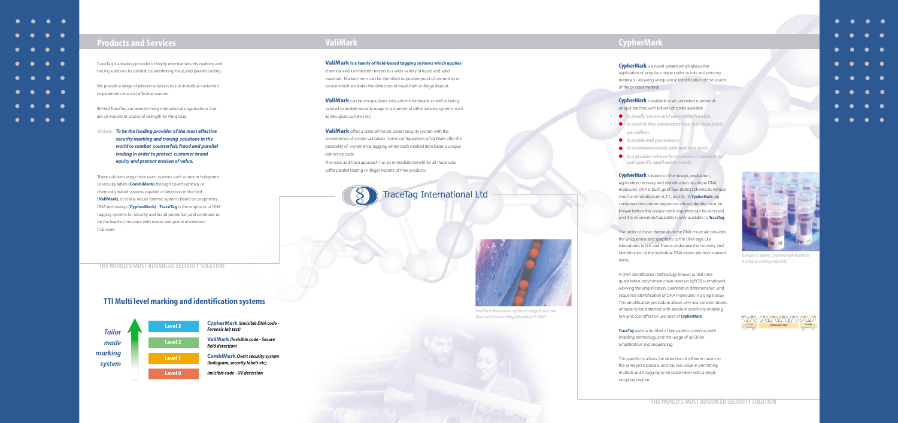

## **Products and Services**

TraceTag is a leading provider of highly effective security marking and tracing solutions to combat counterfeiting, fraud, and parallel trading.

We provide a range of tailored solutions to suit individual customers' requirements in a cost effective manner.

Behind TraceTag are several strong international organisations that are an important source of strength for the group.

**Vision:** *To be the leading provider of the most effective security marking and tracing solutions in the world to combat counterfeit, fraud and parallel trading in order to protect customer brand equity and prevent erosion of value.* 

These solutions range from overt systems such as secure holograms or security labels **(CombiMark)**, through covert optically or chemically based systems capable of detection in the field **(ValiMark)**, to totally secure forensic systems based on proprietary DNA technology **(CypherMark)**. **TraceTag** is the originator of DNA tagging systems for security and brand protection, and continues to be the leading innovator with robust and practical solutions that work.

## **TTI Multi level marking and identification systems**



# **ValiMark**

**ValiMark is a family of field-based tagging systems which applies** chemical and luminescent tracers to a wide variety of liquid and solid materials. Marked items can be identified to provide proof of ownership or source which facilitates the detection of fraud, theft or illegal deposit.

**ValiMark** can be encapsulated into sub-micron beads as well as being tailored to enable versatile usage in a number of other delivery systems such as inks, glues, solvents etc.

**ValiMark** offers a state-of-the-art covert security system with the convenience of on-site validation. Some configurations of ValiMark offer the possibility of incremental tagging, where each marked item bears a unique distinctive code.

This track and trace approach has an immediate benefit for all those who suffer parallel trading or illegal imports of their products.



# **CypherMark**

**CypherMark** is a novel system which allows the application of singular, unique codes to inks and printing materials - allowing unequivocal identification of the source of the printed material.

**CypherMark** is available in an unlimited number of unique batches, with billions of codes available.

- *Is totally secure and uncounterfeitable.*
- *Is used in tiny concentrations, less than parts per billion.*
- *Is stable and permanent.*
- *Is environmentally safe and non toxic.*
- *Is a product whose formulation is variable to suit specific application needs.*

**CypherMark** is based on the design, production, application, recovery and identification of unique DNA molecules. DNA is built up of four distinct chemicals (whose shorthand notation are A, T, C, and G). A **CypherMark** tag comprises two primer sequences whose identity must be known before the unique code sequence can be accessed, and this information/capability is only available to **TraceTag**.

The order of these chemicals in the DNA molecule provides the uniqueness and specificity to the DNA tags. Our laboratories in U.K. and France undertake the recovery and identification of the individual DNA molecules from marked items.

A DNA identification technology known as real-time quantitative polymerase chain reaction (qPCR) is employed, allowing the amplification, quantitative determination, and sequence identification of DNA molecules in a single assay. This amplification procedure allows very low concentrations of tracer to be detected with absolute specificity, enabling low and cost-effective use rates of **CypherMark**.

**TraceTag** owns a number of key patents covering both enabling technology, and the usage of qPCR for amplification and sequencing.

This specificity allows the detection of different tracers in the same print process and has real value in permitting multiple point tagging to be undertaken with a single sampling regime.



*Simple to apply, CypherMark features a unique coding capacity*





- 
- 
- 

### **THE WORLD'S MOST ADVANCED SECURITY SOLUTION**



*ValiMark flourescent spheres lodged in a raw diamond fissure. Magnification: X 2000*